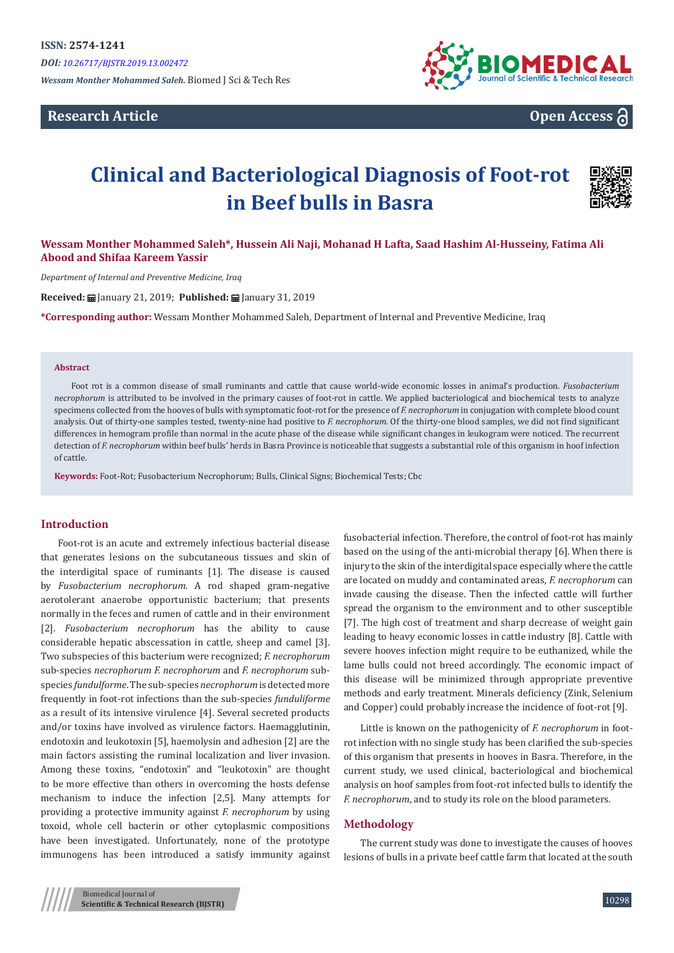*Wessam Monther Mohammed Saleh.* Biomed J Sci & Tech Res

# **Research Article**



# **Open Access**

# **Clinical and Bacteriological Diagnosis of Foot-rot in Beef bulls in Basra**



# **Wessam Monther Mohammed Saleh\*, Hussein Ali Naji, Mohanad H Lafta, Saad Hashim Al-Husseiny, Fatima Ali Abood and Shifaa Kareem Yassir**

*Department of Internal and Preventive Medicine, Iraq*

**Received:** January 21, 2019; **Published:** January 31, 2019

**\*Corresponding author:** Wessam Monther Mohammed Saleh, Department of Internal and Preventive Medicine, Iraq

#### **Abstract**

Foot rot is a common disease of small ruminants and cattle that cause world-wide economic losses in animal's production. *Fusobacterium necrophorum* is attributed to be involved in the primary causes of foot-rot in cattle. We applied bacteriological and biochemical tests to analyze specimens collected from the hooves of bulls with symptomatic foot-rot for the presence of *F. necrophorum* in conjugation with complete blood count analysis. Out of thirty-one samples tested, twenty-nine had positive to *F. necrophorum*. Of the thirty-one blood samples, we did not find significant differences in hemogram profile than normal in the acute phase of the disease while significant changes in leukogram were noticed. The recurrent detection of *F. necrophorum* within beef bulls' herds in Basra Province is noticeable that suggests a substantial role of this organism in hoof infection of cattle.

**Keywords:** Foot-Rot; Fusobacterium Necrophorum; Bulls, Clinical Signs; Biochemical Tests; Cbc

#### **Introduction**

Foot-rot is an acute and extremely infectious bacterial disease that generates lesions on the subcutaneous tissues and skin of the interdigital space of ruminants [1]. The disease is caused by *Fusobacterium necrophorum.* A rod shaped gram-negative aerotolerant anaerobe opportunistic bacterium; that presents normally in the feces and rumen of cattle and in their environment [2]. *Fusobacterium necrophorum* has the ability to cause considerable hepatic abscessation in cattle, sheep and camel [3]. Two subspecies of this bacterium were recognized; *F. necrophorum* sub-species *necrophorum F. necrophorum* and *F. necrophorum* subspecies *fundulforme*. The sub-species *necrophorum*is detected more frequently in foot-rot infections than the sub-species *funduliforme* as a result of its intensive virulence [4]. Several secreted products and/or toxins have involved as virulence factors. Haemagglutinin, endotoxin and leukotoxin [5], haemolysin and adhesion [2] are the main factors assisting the ruminal localization and liver invasion. Among these toxins, "endotoxin" and "leukotoxin" are thought to be more effective than others in overcoming the hosts defense mechanism to induce the infection [2,5]. Many attempts for providing a protective immunity against *F. necrophorum* by using toxoid, whole cell bacterin or other cytoplasmic compositions have been investigated. Unfortunately, none of the prototype immunogens has been introduced a satisfy immunity against fusobacterial infection. Therefore, the control of foot-rot has mainly based on the using of the anti-microbial therapy [6]. When there is injury to the skin of the interdigital space especially where the cattle are located on muddy and contaminated areas, *F. necrophorum* can invade causing the disease. Then the infected cattle will further spread the organism to the environment and to other susceptible [7]. The high cost of treatment and sharp decrease of weight gain leading to heavy economic losses in cattle industry [8]. Cattle with severe hooves infection might require to be euthanized, while the lame bulls could not breed accordingly. The economic impact of this disease will be minimized through appropriate preventive methods and early treatment. Minerals deficiency (Zink, Selenium and Copper) could probably increase the incidence of foot-rot [9].

Little is known on the pathogenicity of *F. necrophorum* in footrot infection with no single study has been clarified the sub-species of this organism that presents in hooves in Basra. Therefore, in the current study, we used clinical, bacteriological and biochemical analysis on hoof samples from foot-rot infected bulls to identify the *F. necrophorum*, and to study its role on the blood parameters.

#### **Methodology**

The current study was done to investigate the causes of hooves lesions of bulls in a private beef cattle farm that located at the south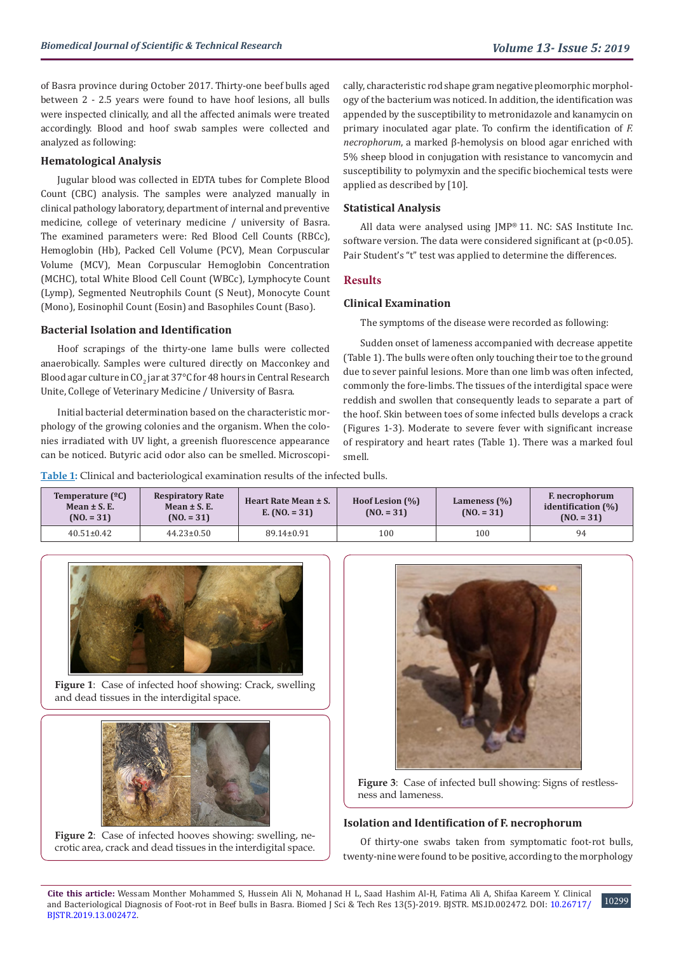of Basra province during October 2017. Thirty-one beef bulls aged between 2 - 2.5 years were found to have hoof lesions, all bulls were inspected clinically, and all the affected animals were treated accordingly. Blood and hoof swab samples were collected and analyzed as following:

# **Hematological Analysis**

Jugular blood was collected in EDTA tubes for Complete Blood Count (CBC) analysis. The samples were analyzed manually in clinical pathology laboratory, department of internal and preventive medicine, college of veterinary medicine / university of Basra. The examined parameters were: Red Blood Cell Counts (RBCc), Hemoglobin (Hb), Packed Cell Volume (PCV), Mean Corpuscular Volume (MCV), Mean Corpuscular Hemoglobin Concentration (MCHC), total White Blood Cell Count (WBCc), Lymphocyte Count (Lymp), Segmented Neutrophils Count (S Neut), Monocyte Count (Mono), Eosinophil Count (Eosin) and Basophiles Count (Baso).

## **Bacterial Isolation and Identification**

Hoof scrapings of the thirty-one lame bulls were collected anaerobically. Samples were cultured directly on Macconkey and Blood agar culture in CO<sub>2</sub> jar at 37°C for 48 hours in Central Research Unite, College of Veterinary Medicine / University of Basra.

Initial bacterial determination based on the characteristic morphology of the growing colonies and the organism. When the colonies irradiated with UV light, a greenish fluorescence appearance can be noticed. Butyric acid odor also can be smelled. Microscopically, characteristic rod shape gram negative pleomorphic morphology of the bacterium was noticed. In addition, the identification was appended by the susceptibility to metronidazole and kanamycin on primary inoculated agar plate. To confirm the identification of *F. necrophorum*, a marked β-hemolysis on blood agar enriched with 5% sheep blood in conjugation with resistance to vancomycin and susceptibility to polymyxin and the specific biochemical tests were applied as described by [10].

#### **Statistical Analysis**

All data were analysed using JMP® 11. NC: SAS Institute Inc. software version. The data were considered significant at (p<0.05). Pair Student's "t" test was applied to determine the differences.

## **Results**

## **Clinical Examination**

The symptoms of the disease were recorded as following:

Sudden onset of lameness accompanied with decrease appetite (Table 1). The bulls were often only touching their toe to the ground due to sever painful lesions. More than one limb was often infected, commonly the fore-limbs. The tissues of the interdigital space were reddish and swollen that consequently leads to separate a part of the hoof. Skin between toes of some infected bulls develops a crack (Figures 1-3). Moderate to severe fever with significant increase of respiratory and heart rates (Table 1). There was a marked foul smell.

**Table 1:** Clinical and bacteriological examination results of the infected bulls.

| Temperature $(^{2}C)$<br>Mean $\pm$ S. E.<br>$(NO1 = 31)$ | <b>Respiratory Rate</b><br>Heart Rate Mean ± S.<br>Mean $\pm$ S. E.<br>E. $(NO. = 31)$<br>$(NO_1 = 31)$ |            | Hoof Lesion $(\%)$<br>$(N0. = 31)$ | Lameness $(\%)$<br>$(N0. = 31)$ | <b>F.</b> necrophorum<br>identification $(\%)$<br>$(NO. = 31)$ |  |
|-----------------------------------------------------------|---------------------------------------------------------------------------------------------------------|------------|------------------------------------|---------------------------------|----------------------------------------------------------------|--|
| $40.51 \pm 0.42$                                          | $44.23 \pm 0.50$                                                                                        | 89.14±0.91 | 100                                | 100                             | 94                                                             |  |



**Figure 1**: Case of infected hoof showing: Crack, swelling and dead tissues in the interdigital space.



**Figure 2**: Case of infected hooves showing: swelling, necrotic area, crack and dead tissues in the interdigital space.



**Figure 3**: Case of infected bull showing: Signs of restlessness and lameness.

## **Isolation and Identification of F. necrophorum**

Of thirty-one swabs taken from symptomatic foot-rot bulls, twenty-nine were found to be positive, according to the morphology

10299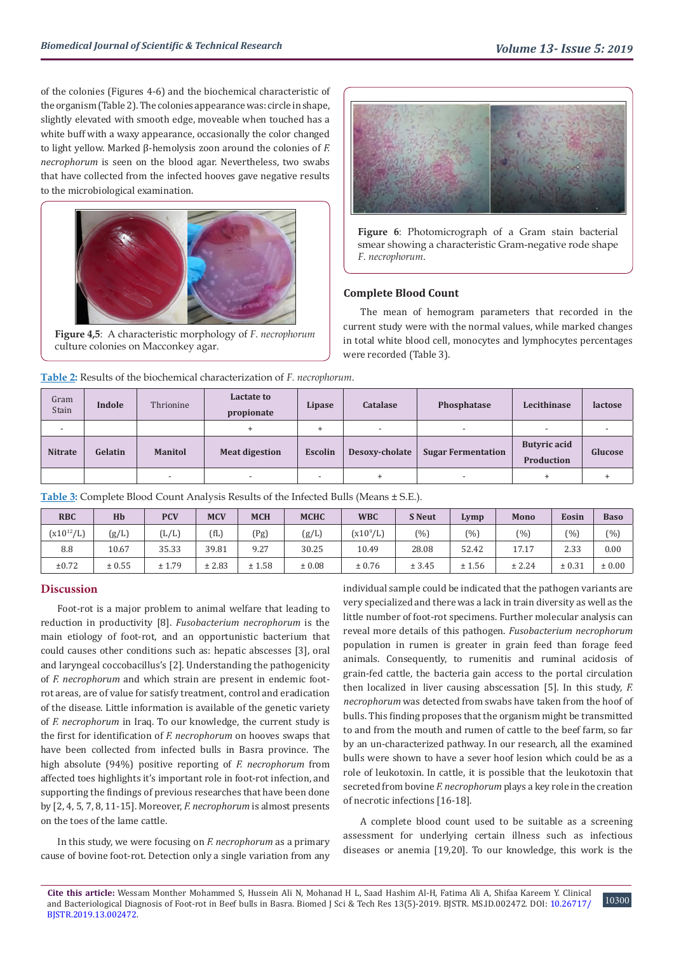of the colonies (Figures 4-6) and the biochemical characteristic of the organism (Table 2). The colonies appearance was: circle in shape, slightly elevated with smooth edge, moveable when touched has a white buff with a waxy appearance, occasionally the color changed to light yellow. Marked β-hemolysis zoon around the colonies of *F. necrophorum* is seen on the blood agar. Nevertheless, two swabs that have collected from the infected hooves gave negative results to the microbiological examination.



**Figure 4,5**: A characteristic morphology of *F. necrophorum* culture colonies on Macconkey agar.



**Figure 6**: Photomicrograph of a Gram stain bacterial smear showing a characteristic Gram-negative rode shape *F. necrophorum*.

#### **Complete Blood Count**

The mean of hemogram parameters that recorded in the current study were with the normal values, while marked changes in total white blood cell, monocytes and lymphocytes percentages were recorded (Table 3).

| Gram<br>Stain  | Indole  | Thrionine                | Lactate to<br>propionate | Lipase                   | <b>Catalase</b>          | Phosphatase               | Lecithinase                       | lactose |
|----------------|---------|--------------------------|--------------------------|--------------------------|--------------------------|---------------------------|-----------------------------------|---------|
|                |         |                          | ÷                        |                          | $\overline{\phantom{a}}$ | $\overline{\phantom{a}}$  | $\overline{\phantom{0}}$          |         |
| <b>Nitrate</b> | Gelatin | <b>Manitol</b>           | <b>Meat digestion</b>    | <b>Escolin</b>           | Desoxy-cholate           | <b>Sugar Fermentation</b> | <b>Butyric acid</b><br>Production | Glucose |
|                |         | $\overline{\phantom{0}}$ | $\overline{\phantom{a}}$ | $\overline{\phantom{a}}$ | $\ddot{}$                | $\overline{\phantom{a}}$  | $+$                               |         |

**Table 2:** Results of the biochemical characterization of *F. necrophorum*.

| Table 3: Complete Blood Count Analysis Results of the Infected Bulls (Means ± S.E.). |  |
|--------------------------------------------------------------------------------------|--|
|                                                                                      |  |

| <b>RBC</b>     | Hb     | <b>PCV</b>               | <b>MCV</b> | <b>MCH</b> | <b>MCHC</b> | <b>WBC</b>    | <b>S</b> Neut | Lymp   | Mono   | Eosin  | <b>Baso</b> |
|----------------|--------|--------------------------|------------|------------|-------------|---------------|---------------|--------|--------|--------|-------------|
| $(x10^{12}/L)$ | (g/L)  | $\left[{\rm L/L}\right]$ | ʻfL,       | (Pg)       | (g/L)       | $(x10^{9}/L)$ | (%)           | (%)    | (%)    | (%     | $(\%)$      |
| 8.8            | 10.67  | 35.33                    | 39.81      | 9.27       | 30.25       | 10.49         | 28.08         | 52.42  | 17.17  | 2.33   | 0.00        |
| ±0.72          | ± 0.55 | ± 1.79                   | ± 2.83     | ± 1.58     | ± 0.08      | ± 0.76        | ± 3.45        | ± 1.56 | ± 2.24 | ± 0.31 | ± 0.00      |

# **Discussion**

Foot-rot is a major problem to animal welfare that leading to reduction in productivity [8]. *Fusobacterium necrophorum* is the main etiology of foot-rot, and an opportunistic bacterium that could causes other conditions such as: hepatic abscesses [3], oral and laryngeal coccobacillus's [2]. Understanding the pathogenicity of *F. necrophorum* and which strain are present in endemic footrot areas, are of value for satisfy treatment, control and eradication of the disease. Little information is available of the genetic variety of *F. necrophorum* in Iraq. To our knowledge, the current study is the first for identification of *F. necrophorum* on hooves swaps that have been collected from infected bulls in Basra province. The high absolute (94%) positive reporting of *F. necrophorum* from affected toes highlights it's important role in foot-rot infection, and supporting the findings of previous researches that have been done by [2, 4, 5, 7, 8, 11-15]. Moreover, *F. necrophorum* is almost presents on the toes of the lame cattle.

In this study, we were focusing on *F. necrophorum* as a primary cause of bovine foot-rot. Detection only a single variation from any

individual sample could be indicated that the pathogen variants are very specialized and there was a lack in train diversity as well as the little number of foot-rot specimens. Further molecular analysis can reveal more details of this pathogen. *Fusobacterium necrophorum*  population in rumen is greater in grain feed than forage feed animals. Consequently, to rumenitis and ruminal acidosis of grain-fed cattle, the bacteria gain access to the portal circulation then localized in liver causing abscessation [5]. In this study, *F. necrophorum* was detected from swabs have taken from the hoof of bulls. This finding proposes that the organism might be transmitted to and from the mouth and rumen of cattle to the beef farm, so far by an un-characterized pathway. In our research, all the examined bulls were shown to have a sever hoof lesion which could be as a role of leukotoxin. In cattle, it is possible that the leukotoxin that secreted from bovine *F. necrophorum* plays a key role in the creation of necrotic infections [16-18].

A complete blood count used to be suitable as a screening assessment for underlying certain illness such as infectious diseases or anemia [19,20]. To our knowledge, this work is the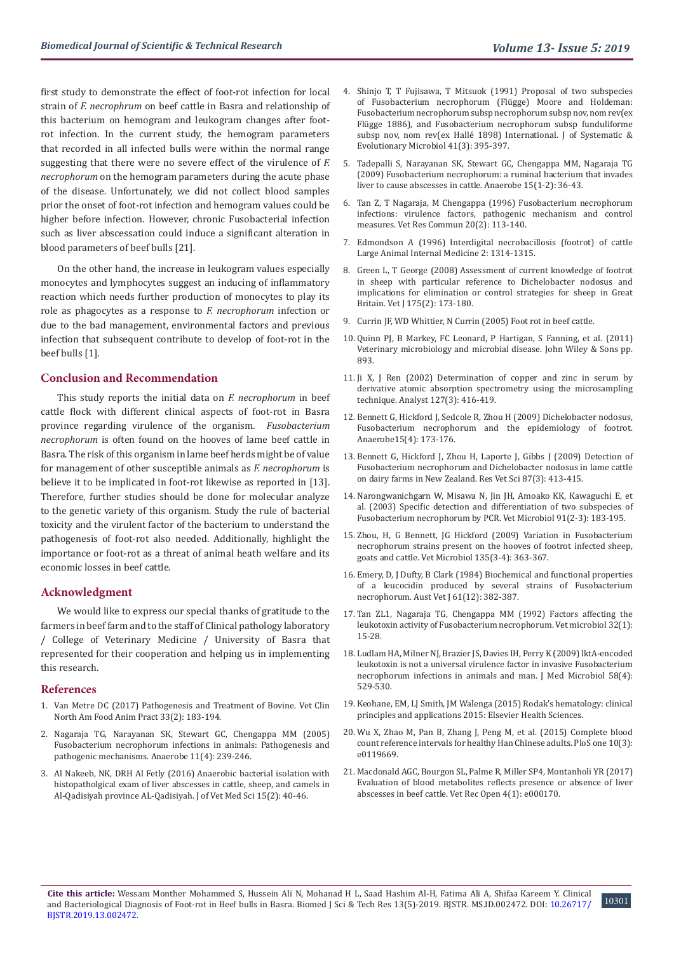first study to demonstrate the effect of foot-rot infection for local strain of *F. necrophrum* on beef cattle in Basra and relationship of this bacterium on hemogram and leukogram changes after footrot infection. In the current study, the hemogram parameters that recorded in all infected bulls were within the normal range suggesting that there were no severe effect of the virulence of *F. necrophorum* on the hemogram parameters during the acute phase of the disease. Unfortunately, we did not collect blood samples prior the onset of foot-rot infection and hemogram values could be higher before infection. However, chronic Fusobacterial infection such as liver abscessation could induce a significant alteration in blood parameters of beef bulls [21].

On the other hand, the increase in leukogram values especially monocytes and lymphocytes suggest an inducing of inflammatory reaction which needs further production of monocytes to play its role as phagocytes as a response to *F. necrophorum* infection or due to the bad management, environmental factors and previous infection that subsequent contribute to develop of foot-rot in the beef bulls [1].

#### **Conclusion and Recommendation**

This study reports the initial data on *F. necrophorum* in beef cattle flock with different clinical aspects of foot-rot in Basra province regarding virulence of the organism. *Fusobacterium necrophorum* is often found on the hooves of lame beef cattle in Basra. The risk of this organism in lame beef herds might be of value for management of other susceptible animals as *F. necrophorum* is believe it to be implicated in foot-rot likewise as reported in [13]. Therefore, further studies should be done for molecular analyze to the genetic variety of this organism. Study the rule of bacterial toxicity and the virulent factor of the bacterium to understand the pathogenesis of foot-rot also needed. Additionally, highlight the importance or foot-rot as a threat of animal heath welfare and its economic losses in beef cattle.

#### **Acknowledgment**

We would like to express our special thanks of gratitude to the farmers in beef farm and to the staff of Clinical pathology laboratory / College of Veterinary Medicine / University of Basra that represented for their cooperation and helping us in implementing this research.

#### **References**

- 1. [Van Metre DC \(2017\) Pathogenesis and Treatment of Bovine. Vet Clin](https://www.ncbi.nlm.nih.gov/pubmed/28579042)  [North Am Food Anim Pract 33\(2\): 183-194.](https://www.ncbi.nlm.nih.gov/pubmed/28579042)
- 2. [Nagaraja TG, Narayanan SK, Stewart GC, Chengappa MM \(2005\)](https://www.ncbi.nlm.nih.gov/pubmed/16701574)  [Fusobacterium necrophorum infections in animals: Pathogenesis and](https://www.ncbi.nlm.nih.gov/pubmed/16701574)  [pathogenic mechanisms. Anaerobe 11\(4\): 239-246.](https://www.ncbi.nlm.nih.gov/pubmed/16701574)
- 3. [Al Nakeeb, NK, DRH Al Fetly \(2016\) Anaerobic bacterial isolation with](https://www.iasj.net/iasj?func=fulltext&aId=120374)  [histopatholgical exam of liver abscesses in cattle, sheep, and camels in](https://www.iasj.net/iasj?func=fulltext&aId=120374)  [Al-Qadisiyah province AL-Qadisiyah. J of Vet Med Sci 15\(2\): 40-46.](https://www.iasj.net/iasj?func=fulltext&aId=120374)
- 4. [Shinjo T, T Fujisawa, T Mitsuok \(1991\) Proposal of two subspecies](https://www.microbiologyresearch.org/docserver/fulltext/ijsem/41/3/ijs-41-3-395.pdf?expires=1548334313&id=id&accname=guest&checksum=750E57FE724A7EC493719C4CF625254B) [of Fusobacterium necrophorum \(Flügge\) Moore and Holdeman:](https://www.microbiologyresearch.org/docserver/fulltext/ijsem/41/3/ijs-41-3-395.pdf?expires=1548334313&id=id&accname=guest&checksum=750E57FE724A7EC493719C4CF625254B) [Fusobacterium necrophorum subsp necrophorum subsp nov, nom rev\(ex](https://www.microbiologyresearch.org/docserver/fulltext/ijsem/41/3/ijs-41-3-395.pdf?expires=1548334313&id=id&accname=guest&checksum=750E57FE724A7EC493719C4CF625254B) [Flügge 1886\), and Fusobacterium necrophorum subsp funduliforme](https://www.microbiologyresearch.org/docserver/fulltext/ijsem/41/3/ijs-41-3-395.pdf?expires=1548334313&id=id&accname=guest&checksum=750E57FE724A7EC493719C4CF625254B) [subsp nov, nom rev\(ex Hallé 1898\) International. J of Systematic &](https://www.microbiologyresearch.org/docserver/fulltext/ijsem/41/3/ijs-41-3-395.pdf?expires=1548334313&id=id&accname=guest&checksum=750E57FE724A7EC493719C4CF625254B) [Evolutionary Microbiol 41\(3\): 395-397.](https://www.microbiologyresearch.org/docserver/fulltext/ijsem/41/3/ijs-41-3-395.pdf?expires=1548334313&id=id&accname=guest&checksum=750E57FE724A7EC493719C4CF625254B)
- 5. [Tadepalli S, Narayanan SK, Stewart GC, Chengappa MM, Nagaraja TG](https://www.ncbi.nlm.nih.gov/pubmed/18595747) [\(2009\) Fusobacterium necrophorum: a ruminal bacterium that invades](https://www.ncbi.nlm.nih.gov/pubmed/18595747) [liver to cause abscesses in cattle. Anaerobe 15\(1-2\): 36-43.](https://www.ncbi.nlm.nih.gov/pubmed/18595747)
- 6. [Tan Z, T Nagaraja, M Chengappa \(1996\) Fusobacterium necrophorum](https://www.ncbi.nlm.nih.gov/pubmed/8711893) [infections: virulence factors, pathogenic mechanism and control](https://www.ncbi.nlm.nih.gov/pubmed/8711893) [measures. Vet Res Commun 20\(2\): 113-140.](https://www.ncbi.nlm.nih.gov/pubmed/8711893)
- 7. Edmondson A (1996) Interdigital necrobacillosis (footrot) of cattle Large Animal Internal Medicine 2: 1314-1315.
- 8. [Green L, T George \(2008\) Assessment of current knowledge of footrot](https://www.ncbi.nlm.nih.gov/pubmed/17418598) [in sheep with particular reference to Dichelobacter nodosus and](https://www.ncbi.nlm.nih.gov/pubmed/17418598) [implications for elimination or control strategies for sheep in Great](https://www.ncbi.nlm.nih.gov/pubmed/17418598) [Britain. Vet J 175\(2\): 173-180.](https://www.ncbi.nlm.nih.gov/pubmed/17418598)
- 9. [Currin JF, WD Whittier, N Currin \(2005\) Foot rot in beef cattle.](https://vtechworkslibvtedu/bitstream/handle/10919/50702/400-310pdf?sequence=1)
- 10. [Quinn PJ, B Markey, FC Leonard, P Hartigan, S Fanning, et al. \(2011\)](https://www.wiley.com/en-us/Veterinary+Microbiology+and+Microbial+Disease%2C+2nd+Edition-p-9781405158237) [Veterinary microbiology and microbial disease. John Wiley & Sons pp.](https://www.wiley.com/en-us/Veterinary+Microbiology+and+Microbial+Disease%2C+2nd+Edition-p-9781405158237) [893.](https://www.wiley.com/en-us/Veterinary+Microbiology+and+Microbial+Disease%2C+2nd+Edition-p-9781405158237)
- 11. [Ji X, J Ren \(2002\) Determination of copper and zinc in serum by](https://www.researchgate.net/publication/11375018_Determination_of_copper_and_zinc_in_serum_by_derivative_atomic_absorption_spectrometry_using_the_microsampling_technique) [derivative atomic absorption spectrometry using the microsampling](https://www.researchgate.net/publication/11375018_Determination_of_copper_and_zinc_in_serum_by_derivative_atomic_absorption_spectrometry_using_the_microsampling_technique) [technique. Analyst 127\(3\): 416-419.](https://www.researchgate.net/publication/11375018_Determination_of_copper_and_zinc_in_serum_by_derivative_atomic_absorption_spectrometry_using_the_microsampling_technique)
- 12. [Bennett G, Hickford J, Sedcole R, Zhou H \(2009\) Dichelobacter nodosus,](https://www.ncbi.nlm.nih.gov/pubmed/19239925) [Fusobacterium necrophorum and the epidemiology of footrot.](https://www.ncbi.nlm.nih.gov/pubmed/19239925) [Anaerobe15\(4\): 173-176.](https://www.ncbi.nlm.nih.gov/pubmed/19239925)
- 13. [Bennett G, Hickford J, Zhou H, Laporte J, Gibbs J \(2009\) Detection of](https://www.ncbi.nlm.nih.gov/pubmed/19409584) [Fusobacterium necrophorum and Dichelobacter nodosus in lame cattle](https://www.ncbi.nlm.nih.gov/pubmed/19409584) [on dairy farms in New Zealand. Res Vet Sci 87\(3\): 413-415.](https://www.ncbi.nlm.nih.gov/pubmed/19409584)
- 14. [Narongwanichgarn W, Misawa N, Jin JH, Amoako KK, Kawaguchi E, et](https://www.ncbi.nlm.nih.gov/pubmed/12458167) [al. \(2003\) Specific detection and differentiation of two subspecies of](https://www.ncbi.nlm.nih.gov/pubmed/12458167) [Fusobacterium necrophorum by PCR. Vet Microbiol 91\(2-3\): 183-195.](https://www.ncbi.nlm.nih.gov/pubmed/12458167)
- 15. [Zhou, H, G Bennett, JG Hickford \(2009\) Variation in Fusobacterium](https://www.ncbi.nlm.nih.gov/pubmed/19019570) [necrophorum strains present on the hooves of footrot infected sheep,](https://www.ncbi.nlm.nih.gov/pubmed/19019570) [goats and cattle. Vet Microbiol 135\(3-4\): 363-367.](https://www.ncbi.nlm.nih.gov/pubmed/19019570)
- 16. [Emery, D, J Dufty, B Clark \(1984\) Biochemical and functional properties](https://www.ncbi.nlm.nih.gov/pubmed/6534355) [of a leucocidin produced by several strains of Fusobacterium](https://www.ncbi.nlm.nih.gov/pubmed/6534355) [necrophorum. Aust Vet J 61\(12\): 382-387.](https://www.ncbi.nlm.nih.gov/pubmed/6534355)
- 17. [Tan ZL1, Nagaraja TG, Chengappa MM \(1992\) Factors affecting the](https://www.ncbi.nlm.nih.gov/pubmed/1514235) [leukotoxin activity of Fusobacterium necrophorum. Vet microbiol 32\(1\):](https://www.ncbi.nlm.nih.gov/pubmed/1514235) [15-28.](https://www.ncbi.nlm.nih.gov/pubmed/1514235)
- 18. [Ludlam HA, Milner NJ, Brazier JS, Davies IH, Perry K \(2009\) lktA-encoded](https://www.ncbi.nlm.nih.gov/pubmed/19273652) [leukotoxin is not a universal virulence factor in invasive Fusobacterium](https://www.ncbi.nlm.nih.gov/pubmed/19273652) [necrophorum infections in animals and man. J Med Microbiol 58\(4\):](https://www.ncbi.nlm.nih.gov/pubmed/19273652) [529-530.](https://www.ncbi.nlm.nih.gov/pubmed/19273652)
- 19. [Keohane, EM, LJ Smith, JM Walenga \(2015\) Rodak's hematology: clinical](https://evolve.elsevier.com/cs/product/9780323239066?role=student) [principles and applications 2015: Elsevier Health Sciences.](https://evolve.elsevier.com/cs/product/9780323239066?role=student)
- 20. [Wu X, Zhao M, Pan B, Zhang J, Peng M, et al. \(2015\) Complete blood](https://www.ncbi.nlm.nih.gov/pubmed/25769040) [count reference intervals for healthy Han Chinese adults. PloS one 10\(3\):](https://www.ncbi.nlm.nih.gov/pubmed/25769040) e0119669
- 21. [Macdonald AGC, Bourgon SL, Palme R, Miller SP4, Montanholi YR \(2017\)](https://www.ncbi.nlm.nih.gov/pubmed/28890789) [Evaluation of blood metabolites reflects presence or absence of liver](https://www.ncbi.nlm.nih.gov/pubmed/28890789) [abscesses in beef cattle. Vet Rec Open 4\(1\): e000170.](https://www.ncbi.nlm.nih.gov/pubmed/28890789)